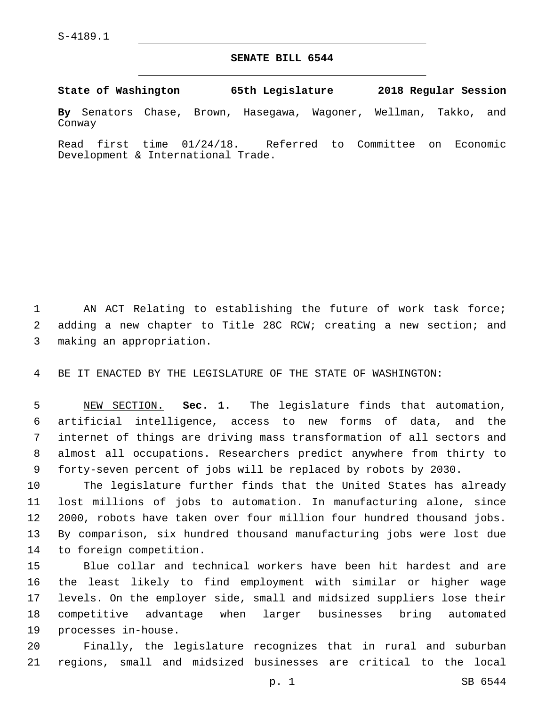## **SENATE BILL 6544**

**State of Washington 65th Legislature 2018 Regular Session**

**By** Senators Chase, Brown, Hasegawa, Wagoner, Wellman, Takko, and Conway

Read first time 01/24/18. Referred to Committee on Economic Development & International Trade.

1 AN ACT Relating to establishing the future of work task force; 2 adding a new chapter to Title 28C RCW; creating a new section; and making an appropriation.3

4 BE IT ENACTED BY THE LEGISLATURE OF THE STATE OF WASHINGTON:

 NEW SECTION. **Sec. 1.** The legislature finds that automation, artificial intelligence, access to new forms of data, and the internet of things are driving mass transformation of all sectors and almost all occupations. Researchers predict anywhere from thirty to forty-seven percent of jobs will be replaced by robots by 2030.

 The legislature further finds that the United States has already lost millions of jobs to automation. In manufacturing alone, since 2000, robots have taken over four million four hundred thousand jobs. By comparison, six hundred thousand manufacturing jobs were lost due 14 to foreign competition.

 Blue collar and technical workers have been hit hardest and are the least likely to find employment with similar or higher wage levels. On the employer side, small and midsized suppliers lose their competitive advantage when larger businesses bring automated 19 processes in-house.

20 Finally, the legislature recognizes that in rural and suburban 21 regions, small and midsized businesses are critical to the local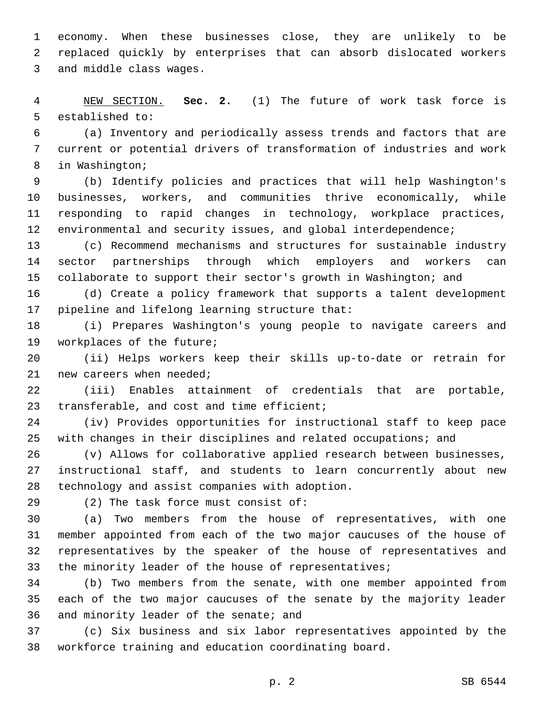economy. When these businesses close, they are unlikely to be replaced quickly by enterprises that can absorb dislocated workers 3 and middle class wages.

 NEW SECTION. **Sec. 2.** (1) The future of work task force is established to:

 (a) Inventory and periodically assess trends and factors that are current or potential drivers of transformation of industries and work 8 in Washington;

 (b) Identify policies and practices that will help Washington's businesses, workers, and communities thrive economically, while responding to rapid changes in technology, workplace practices, 12 environmental and security issues, and global interdependence;

 (c) Recommend mechanisms and structures for sustainable industry sector partnerships through which employers and workers can collaborate to support their sector's growth in Washington; and

 (d) Create a policy framework that supports a talent development 17 pipeline and lifelong learning structure that:

 (i) Prepares Washington's young people to navigate careers and 19 workplaces of the future;

 (ii) Helps workers keep their skills up-to-date or retrain for new careers when needed;

 (iii) Enables attainment of credentials that are portable, 23 transferable, and cost and time efficient;

 (iv) Provides opportunities for instructional staff to keep pace with changes in their disciplines and related occupations; and

 (v) Allows for collaborative applied research between businesses, instructional staff, and students to learn concurrently about new 28 technology and assist companies with adoption.

29 (2) The task force must consist of:

 (a) Two members from the house of representatives, with one member appointed from each of the two major caucuses of the house of representatives by the speaker of the house of representatives and 33 the minority leader of the house of representatives;

 (b) Two members from the senate, with one member appointed from each of the two major caucuses of the senate by the majority leader 36 and minority leader of the senate; and

 (c) Six business and six labor representatives appointed by the workforce training and education coordinating board.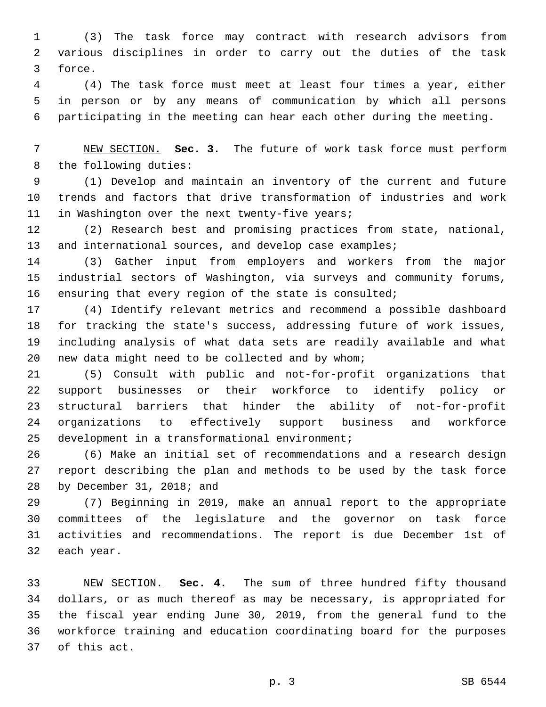(3) The task force may contract with research advisors from various disciplines in order to carry out the duties of the task 3 force.

 (4) The task force must meet at least four times a year, either in person or by any means of communication by which all persons participating in the meeting can hear each other during the meeting.

 NEW SECTION. **Sec. 3.** The future of work task force must perform the following duties:

 (1) Develop and maintain an inventory of the current and future trends and factors that drive transformation of industries and work 11 in Washington over the next twenty-five years;

 (2) Research best and promising practices from state, national, 13 and international sources, and develop case examples;

 (3) Gather input from employers and workers from the major industrial sectors of Washington, via surveys and community forums, ensuring that every region of the state is consulted;

 (4) Identify relevant metrics and recommend a possible dashboard for tracking the state's success, addressing future of work issues, including analysis of what data sets are readily available and what 20 new data might need to be collected and by whom;

 (5) Consult with public and not-for-profit organizations that support businesses or their workforce to identify policy or structural barriers that hinder the ability of not-for-profit organizations to effectively support business and workforce development in a transformational environment;

 (6) Make an initial set of recommendations and a research design report describing the plan and methods to be used by the task force 28 by December 31, 2018; and

 (7) Beginning in 2019, make an annual report to the appropriate committees of the legislature and the governor on task force activities and recommendations. The report is due December 1st of 32 each year.

 NEW SECTION. **Sec. 4.** The sum of three hundred fifty thousand dollars, or as much thereof as may be necessary, is appropriated for the fiscal year ending June 30, 2019, from the general fund to the workforce training and education coordinating board for the purposes of this act.